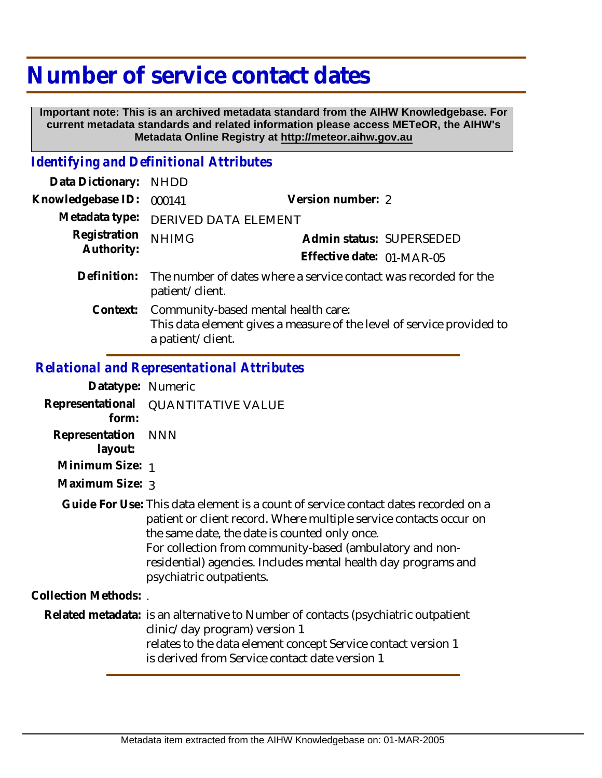## **Number of service contact dates**

 **Important note: This is an archived metadata standard from the AIHW Knowledgebase. For current metadata standards and related information please access METeOR, the AIHW's Metadata Online Registry at http://meteor.aihw.gov.au**

## *Identifying and Definitional Attributes*

| Data Dictionary:           | <b>NHDD</b>                                                                                                                       |                           |  |
|----------------------------|-----------------------------------------------------------------------------------------------------------------------------------|---------------------------|--|
| Knowledgebase ID:          | 000141                                                                                                                            | Version number: 2         |  |
| Metadata type:             | DERIVED DATA ELEMENT                                                                                                              |                           |  |
| Registration<br>Authority: | <b>NHIMG</b>                                                                                                                      | Admin status: SUPERSEDED  |  |
|                            |                                                                                                                                   | Effective date: 01-MAR-05 |  |
| Definition:                | The number of dates where a service contact was recorded for the<br>patient/client.                                               |                           |  |
| Context:                   | Community-based mental health care:<br>This data element gives a measure of the level of service provided to<br>a patient/client. |                           |  |

## *Relational and Representational Attributes*

| Datatype: Numeric         |                                                                                                                                                                                                                                                                                                                                                                     |
|---------------------------|---------------------------------------------------------------------------------------------------------------------------------------------------------------------------------------------------------------------------------------------------------------------------------------------------------------------------------------------------------------------|
| Representational<br>form: | <b>QUANTITATIVE VALUE</b>                                                                                                                                                                                                                                                                                                                                           |
| Representation<br>layout: | NNN                                                                                                                                                                                                                                                                                                                                                                 |
| Minimum Size: 1           |                                                                                                                                                                                                                                                                                                                                                                     |
| Maximum Size: 3           |                                                                                                                                                                                                                                                                                                                                                                     |
|                           | Guide For Use: This data element is a count of service contact dates recorded on a<br>patient or client record. Where multiple service contacts occur on<br>the same date, the date is counted only once.<br>For collection from community-based (ambulatory and non-<br>residential) agencies. Includes mental health day programs and<br>psychiatric outpatients. |
| Collection Methods: .     |                                                                                                                                                                                                                                                                                                                                                                     |
|                           | Related metadata: is an alternative to Number of contacts (psychiatric outpatient<br>clinic/day program) version 1<br>relates to the data element concept Service contact version 1<br>is derived from Service contact date version 1                                                                                                                               |